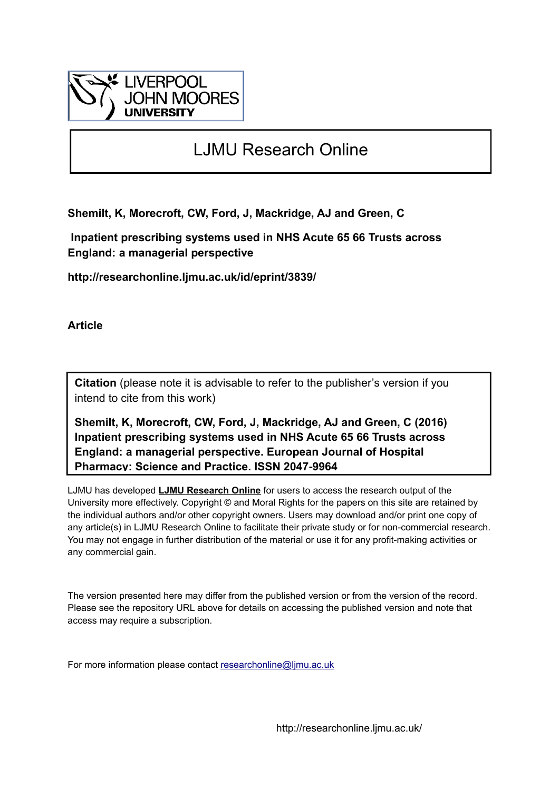

# LJMU Research Online

**Shemilt, K, Morecroft, CW, Ford, J, Mackridge, AJ and Green, C**

 **Inpatient prescribing systems used in NHS Acute 65 66 Trusts across England: a managerial perspective**

**http://researchonline.ljmu.ac.uk/id/eprint/3839/**

**Article**

**Citation** (please note it is advisable to refer to the publisher's version if you intend to cite from this work)

**Shemilt, K, Morecroft, CW, Ford, J, Mackridge, AJ and Green, C (2016) Inpatient prescribing systems used in NHS Acute 65 66 Trusts across England: a managerial perspective. European Journal of Hospital Pharmacy: Science and Practice. ISSN 2047-9964** 

LJMU has developed **[LJMU Research Online](http://researchonline.ljmu.ac.uk/)** for users to access the research output of the University more effectively. Copyright © and Moral Rights for the papers on this site are retained by the individual authors and/or other copyright owners. Users may download and/or print one copy of any article(s) in LJMU Research Online to facilitate their private study or for non-commercial research. You may not engage in further distribution of the material or use it for any profit-making activities or any commercial gain.

The version presented here may differ from the published version or from the version of the record. Please see the repository URL above for details on accessing the published version and note that access may require a subscription.

For more information please contact [researchonline@ljmu.ac.uk](mailto:researchonline@ljmu.ac.uk)

http://researchonline.ljmu.ac.uk/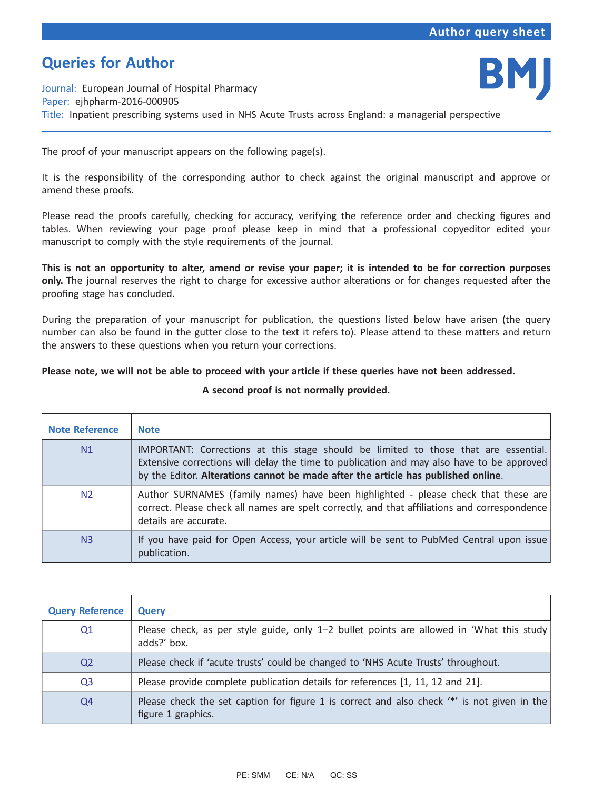# <span id="page-1-0"></span>Queries for Author



Journal: European Journal of Hospital Pharmacy Paper: ejhpharm-2016-000905 Title: Inpatient prescribing systems used in NHS Acute Trusts across England: a managerial perspective

The proof of your manuscript appears on the following page(s).

It is the responsibility of the corresponding author to check against the original manuscript and approve or amend these proofs.

Please read the proofs carefully, checking for accuracy, verifying the reference order and checking figures and tables. When reviewing your page proof please keep in mind that a professional copyeditor edited your manuscript to comply with the style requirements of the journal.

This is not an opportunity to alter, amend or revise your paper; it is intended to be for correction purposes only. The journal reserves the right to charge for excessive author alterations or for changes requested after the proofing stage has concluded.

During the preparation of your manuscript for publication, the questions listed below have arisen (the query number can also be found in the gutter close to the text it refers to). Please attend to these matters and return the answers to these questions when you return your corrections.

## Please note, we will not be able to proceed with your article if these queries have not been addressed.

## A second proof is not normally provided.

| <b>Note Reference</b> | <b>Note</b>                                                                                                                                                                                                                                                           |
|-----------------------|-----------------------------------------------------------------------------------------------------------------------------------------------------------------------------------------------------------------------------------------------------------------------|
| N1                    | IMPORTANT: Corrections at this stage should be limited to those that are essential.<br>Extensive corrections will delay the time to publication and may also have to be approved<br>by the Editor. Alterations cannot be made after the article has published online. |
| N <sub>2</sub>        | Author SURNAMES (family names) have been highlighted - please check that these are<br>correct. Please check all names are spelt correctly, and that affiliations and correspondence<br>details are accurate.                                                          |
| N <sub>3</sub>        | If you have paid for Open Access, your article will be sent to PubMed Central upon issue<br>publication.                                                                                                                                                              |

| <b>Query Reference</b> | Query                                                                                                             |
|------------------------|-------------------------------------------------------------------------------------------------------------------|
| Q1                     | Please check, as per style guide, only 1–2 bullet points are allowed in 'What this study<br>adds?' box.           |
| Q <sub>2</sub>         | Please check if 'acute trusts' could be changed to 'NHS Acute Trusts' throughout.                                 |
| Q <sub>3</sub>         | Please provide complete publication details for references [1, 11, 12 and 21].                                    |
| Q4                     | Please check the set caption for figure 1 is correct and also check "*' is not given in the<br>figure 1 graphics. |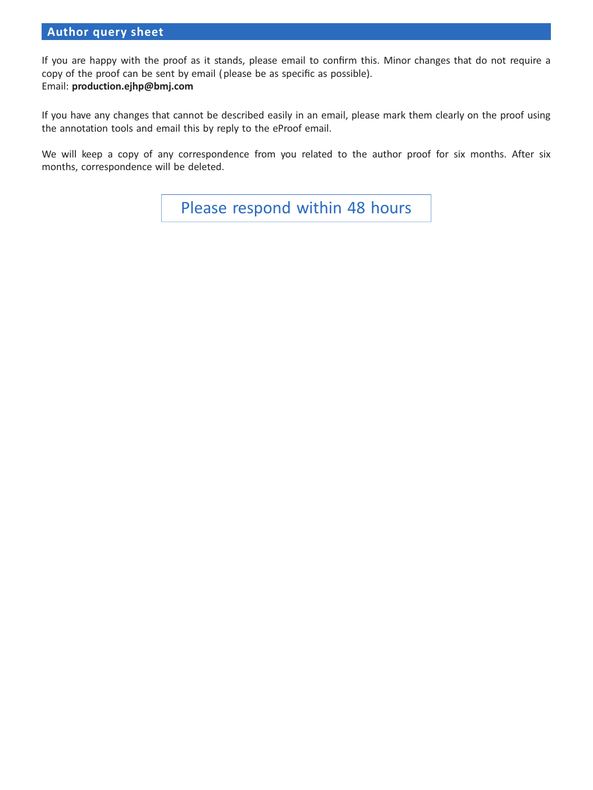## Author query sheet

If you are happy with the proof as it stands, please email to confirm this. Minor changes that do not require a copy of the proof can be sent by email ( please be as specific as possible). Email: production.ejhp@bmj.com

If you have any changes that cannot be described easily in an email, please mark them clearly on the proof using the annotation tools and email this by reply to the eProof email.

We will keep a copy of any correspondence from you related to the author proof for six months. After six months, correspondence will be deleted.

Please respond within 48 hours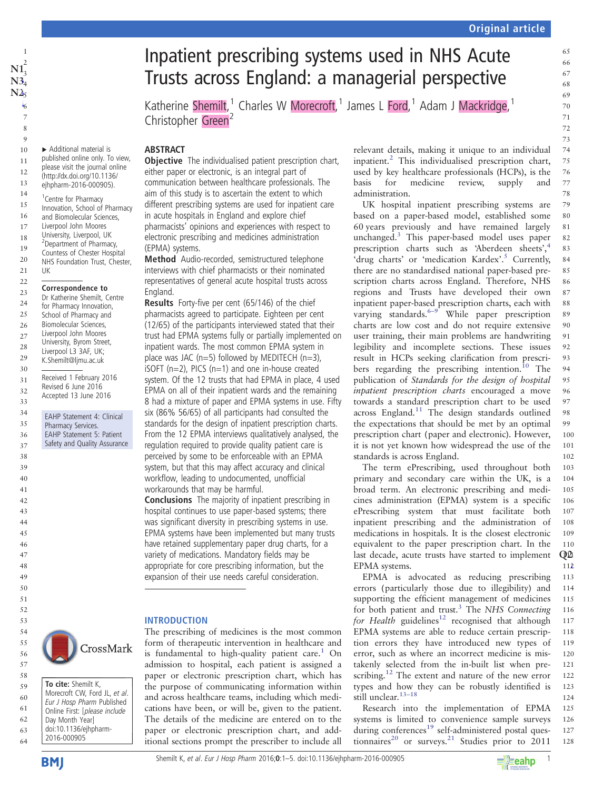# <span id="page-3-0"></span>Inpatient prescribing systems used in NHS Acute  $\sum_{N3_4}^{N1_3^2}$  $\sum_{N3_4}^{N1_3^2}$  $\sum_{N3_4}^{N1_3^2}$  Trusts across England: a managerial perspective

Katherine Shemilt,<sup>1</sup> Charles W Morecroft,<sup>1</sup> James L Ford,<sup>1</sup> Adam J Mackridge,<sup>1</sup> Christopher Green<sup>2</sup>

## ABSTRACT

**Objective** The individualised patient prescription chart, either paper or electronic, is an integral part of communication between healthcare professionals. The aim of this study is to ascertain the extent to which different prescribing systems are used for inpatient care in acute hospitals in England and explore chief pharmacists' opinions and experiences with respect to electronic prescribing and medicines administration (EPMA) systems.

Method Audio-recorded, semistructured telephone interviews with chief pharmacists or their nominated representatives of general acute hospital trusts across England.

Results Forty-five per cent (65/146) of the chief pharmacists agreed to participate. Eighteen per cent (12/65) of the participants interviewed stated that their trust had EPMA systems fully or partially implemented on inpatient wards. The most common EPMA system in place was JAC ( $n=5$ ) followed by MEDITECH ( $n=3$ ),  $i$ SOFT (n=2), PICS (n=1) and one in-house created system. Of the 12 trusts that had EPMA in place, 4 used EPMA on all of their inpatient wards and the remaining 8 had a mixture of paper and EPMA systems in use. Fifty six (86% 56/65) of all participants had consulted the standards for the design of inpatient prescription charts. From the 12 EPMA interviews qualitatively analysed, the regulation required to provide quality patient care is perceived by some to be enforceable with an EPMA system, but that this may affect accuracy and clinical workflow, leading to undocumented, unofficial workarounds that may be harmful.

Conclusions The majority of inpatient prescribing in hospital continues to use paper-based systems; there was significant diversity in prescribing systems in use. EPMA systems have been implemented but many trusts have retained supplementary paper drug charts, for a variety of medications. Mandatory fields may be appropriate for core prescribing information, but the expansion of their use needs careful consideration.

#### INTRODUCTION

The prescribing of medicines is the most common form of therapeutic intervention in healthcare and is fundamental to high-quality patient care.<sup>1</sup> On admission to hospital, each patient is assigned a paper or electronic prescription chart, which has the purpose of communicating information within and across healthcare teams, including which medications have been, or will be, given to the patient. The details of the medicine are entered on to the paper or electronic prescription chart, and additional sections prompt the prescriber to include all

relevant details, making it unique to an individual inpatient.[2](#page-6-0) This individualised prescription chart, used by key healthcare professionals (HCPs), is the basis for medicine review, supply and administration. 77

UK hospital inpatient prescribing systems are based on a paper-based model, established some 60 years previously and have remained largely unchanged[.3](#page-6-0) This paper-based model uses paper prescription charts such as 'Aberdeen sheets', [4](#page-6-0) 'drug charts' or 'medication Kardex'.<sup>[5](#page-6-0)</sup> Currently, there are no standardised national paper-based prescription charts across England. Therefore, NHS regions and Trusts have developed their own inpatient paper-based prescription charts, each with varying standards.<sup>[6](#page-6-0)–9</sup> While paper prescription charts are low cost and do not require extensive user training, their main problems are handwriting legibility and incomplete sections. These issues result in HCPs seeking clarification from prescribers regarding the prescribing intention.<sup>10</sup> The publication of Standards for the design of hospital inpatient prescription charts encouraged a move towards a standard prescription chart to be used across England.<sup>[11](#page-7-0)</sup> The design standards outlined the expectations that should be met by an optimal prescription chart (paper and electronic). However, it is not yet known how widespread the use of the standards is across England. 79 80 81 82 83 84 85 86 87 88 89 90 91 92 93 94 95 96 97 98 99 100 101 102

The term ePrescribing, used throughout both primary and secondary care within the UK, is a broad term. An electronic prescribing and medicines administration (EPMA) system is a specific ePrescribing system that must facilitate both inpatient prescribing and the administration of medications in hospitals. It is the closest electronic equivalent to the paper prescription chart. In the last decade, acute trusts have started to implement EPMA systems. 103 104 105 106 107 108 109 110  $Q<sub>2</sub>$ 112

EPMA is advocated as reducing prescribing errors (particularly those due to illegibility) and supporting the efficient management of medicines for both patient and trust.<sup>[3](#page-6-0)</sup> The NHS Connecting for Health guidelines<sup>[12](#page-7-0)</sup> recognised that although EPMA systems are able to reduce certain prescription errors they have introduced new types of error, such as where an incorrect medicine is mistakenly selected from the in-built list when pre-scribing.<sup>[12](#page-7-0)</sup> The extent and nature of the new error types and how they can be robustly identified is still unclear.<sup>[13](#page-7-0)-18</sup> 113 114 115 116 117 118 119 120 121 122 123 124

Research into the implementation of EPMA systems is limited to convenience sample surveys during conferences<sup>19</sup> self-administered postal ques-tionnaires<sup>[20](#page-7-0)</sup> or surveys.<sup>[21](#page-7-0)</sup> Studies prior to  $2011$ 125 126 127 128



62 63 64

 $^{11}_{13}$ <br> $^{13}_{14}$  $N2<sub>5</sub>$  $N2<sub>5</sub>$ ¶ 6

1 2

4

▸ Additional material is published online only. To view, please visit the journal online [\(http://dx.doi.org/10.1136/](http://dx.doi.org/10.1136/ejhpharm-2016-000905) [ejhpharm-2016-000905\)](http://dx.doi.org/10.1136/ejhpharm-2016-000905). <sup>1</sup> Centre for Pharmacy Innovation, School of Pharmacy and Biomolecular Sciences, Liverpool John Moores University, Liverpool, UK <sup>2</sup> Department of Pharmacy, Countess of Chester Hospital NHS Foundation Trust, Chester,

Correspondence to Dr Katherine Shemilt, Centre for Pharmacy Innovation, School of Pharmacy and Biomolecular Sciences, Liverpool John Moores University, Byrom Street, Liverpool L3 3AF, LIK; K.Shemilt@ljmu.ac.uk Received 1 February 2016 Revised 6 June 2016 Accepted 13 June 2016

EAHP Statement 4: Clinical Pharmacy Services. EAHP Statement 5: Patient Safety and Quality Assurance

UK

To cite: Shemilt K, Morecroft CW, Ford JL, et al. Eur J Hosp Pharm Published Online First: [please include Day Month Year] doi:10.1136/ejhpharm-2016-000905

CrossMark



75 76

78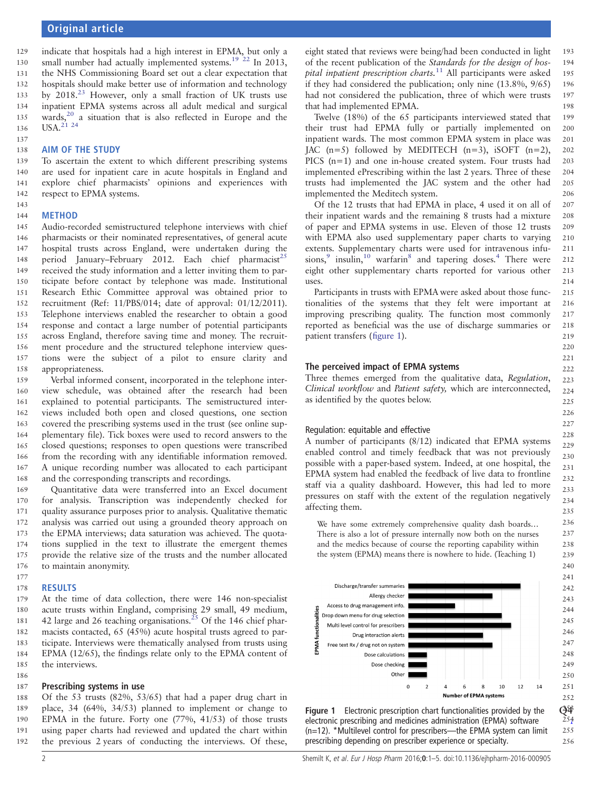<span id="page-4-0"></span>indicate that hospitals had a high interest in EPMA, but only a small number had actually implemented systems.<sup>[19 22](#page-7-0)</sup> In 2013, the NHS Commissioning Board set out a clear expectation that hospitals should make better use of information and technology by 2018.<sup>23</sup> However, only a small fraction of UK trusts use inpatient EPMA systems across all adult medical and surgical wards,<sup>[20](#page-7-0)</sup> a situation that is also reflected in Europe and the USA.<sup>21</sup> 24 129 130 131 132 133 134 135 136

#### AIM OF THE STUDY 138

To ascertain the extent to which different prescribing systems are used for inpatient care in acute hospitals in England and explore chief pharmacists' opinions and experiences with respect to EPMA systems. 139 140 141 142

#### METHOD 144

137

143

Audio-recorded semistructured telephone interviews with chief pharmacists or their nominated representatives, of general acute hospital trusts across England, were undertaken during the period January–February 2012. Each chief pharmacist<sup>25</sup> received the study information and a letter inviting them to participate before contact by telephone was made. Institutional Research Ethic Committee approval was obtained prior to recruitment (Ref: 11/PBS/014; date of approval: 01/12/2011). Telephone interviews enabled the researcher to obtain a good response and contact a large number of potential participants across England, therefore saving time and money. The recruitment procedure and the structured telephone interview questions were the subject of a pilot to ensure clarity and appropriateness. 145 146 147 148 149 150 151 152 153 154 155 156 157 158

Verbal informed consent, incorporated in the telephone interview schedule, was obtained after the research had been explained to potential participants. The semistructured interviews included both open and closed questions, one section covered the prescribing systems used in the trust (see online supplementary file). Tick boxes were used to record answers to the closed questions; responses to open questions were transcribed from the recording with any identifiable information removed. A unique recording number was allocated to each participant and the corresponding transcripts and recordings. 159 160 161 162 163 164 165 166 167 168

Quantitative data were transferred into an Excel document for analysis. Transcription was independently checked for quality assurance purposes prior to analysis. Qualitative thematic analysis was carried out using a grounded theory approach on the EPMA interviews; data saturation was achieved. The quotations supplied in the text to illustrate the emergent themes provide the relative size of the trusts and the number allocated to maintain anonymity. 169 170 171 172 173 174 175 176 177

#### RESULTS 178

At the time of data collection, there were 146 non-specialist acute trusts within England, comprising 29 small, 49 medium, 42 large and 26 teaching organisations.<sup>[25](#page-7-0)</sup> Of the 146 chief pharmacists contacted, 65 (45%) acute hospital trusts agreed to participate. Interviews were thematically analysed from trusts using EPMA (12/65), the findings relate only to the EPMA content of the interviews. 179 180 181 182 183 184 185

#### Prescribing systems in use 187

Of the 53 trusts (82%, 53/65) that had a paper drug chart in place, 34 (64%, 34/53) planned to implement or change to EPMA in the future. Forty one (77%, 41/53) of those trusts using paper charts had reviewed and updated the chart within the previous 2 years of conducting the interviews. Of these, 188 189 190 191 192

eight stated that reviews were being/had been conducted in light of the recent publication of the Standards for the design of hos-pital inpatient prescription charts.<sup>[11](#page-7-0)</sup> All participants were asked if they had considered the publication; only nine (13.8%, 9/65) had not considered the publication, three of which were trusts that had implemented EPMA. 193 194 195 196 197 198

Twelve (18%) of the 65 participants interviewed stated that their trust had EPMA fully or partially implemented on inpatient wards. The most common EPMA system in place was JAC  $(n=5)$  followed by MEDITECH  $(n=3)$ , iSOFT  $(n=2)$ , PICS (n=1) and one in-house created system. Four trusts had implemented ePrescribing within the last 2 years. Three of these trusts had implemented the JAC system and the other had implemented the Meditech system. 199 200 201 202 203 204 205 206

Of the 12 trusts that had EPMA in place, 4 used it on all of their inpatient wards and the remaining 8 trusts had a mixture of paper and EPMA systems in use. Eleven of those 12 trusts with EPMA also used supplementary paper charts to varying extents. Supplementary charts were used for intravenous infusions, $9 \text{ insulin},^{10}$  $9 \text{ insulin},^{10}$  $9 \text{ insulin},^{10}$  warfarin $8$  and tapering doses.<sup>4</sup> There were eight other supplementary charts reported for various other uses. 207 208 209 210 211 212 213 214

Participants in trusts with EPMA were asked about those functionalities of the systems that they felt were important at improving prescribing quality. The function most commonly reported as beneficial was the use of discharge summaries or patient transfers (figure 1). 215 216 217 218 219

#### The perceived impact of EPMA systems

Three themes emerged from the qualitative data, Regulation, Clinical workflow and Patient safety, which are interconnected, as identified by the quotes below.

### Regulation: equitable and effective

A number of participants (8/12) indicated that EPMA systems enabled control and timely feedback that was not previously possible with a paper-based system. Indeed, at one hospital, the EPMA system had enabled the feedback of live data to frontline staff via a quality dashboard. However, this had led to more pressures on staff with the extent of the regulation negatively affecting them.

We have some extremely comprehensive quality dash boards… There is also a lot of pressure internally now both on the nurses and the medics because of course the reporting capability within the system (EPMA) means there is nowhere to hide. (Teaching 1)



Figure 1 Electronic prescription chart functionalities provided by the electronic prescribing and medicines administration (EPMA) software (n=12). \*Multilevel control for prescribers—the EPMA system can limit prescribing depending on prescriber experience or specialty.

255 256

220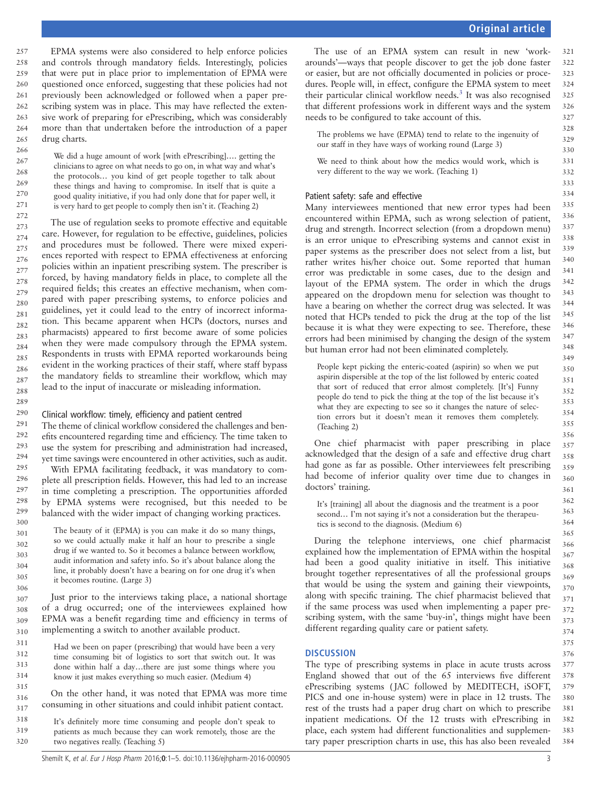EPMA systems were also considered to help enforce policies and controls through mandatory fields. Interestingly, policies that were put in place prior to implementation of EPMA were questioned once enforced, suggesting that these policies had not previously been acknowledged or followed when a paper prescribing system was in place. This may have reflected the extensive work of preparing for ePrescribing, which was considerably more than that undertaken before the introduction of a paper drug charts.  $257$ 258 259 260  $261$  $262$ 263 264 265

We did a huge amount of work [with ePrescribing]…. getting the clinicians to agree on what needs to go on, in what way and what's the protocols… you kind of get people together to talk about these things and having to compromise. In itself that is quite a good quality initiative, if you had only done that for paper well, it is very hard to get people to comply then isn't it. (Teaching 2)

 $289$ 

The use of regulation seeks to promote effective and equitable care. However, for regulation to be effective, guidelines, policies and procedures must be followed. There were mixed experiences reported with respect to EPMA effectiveness at enforcing policies within an inpatient prescribing system. The prescriber is forced, by having mandatory fields in place, to complete all the required fields; this creates an effective mechanism, when compared with paper prescribing systems, to enforce policies and guidelines, yet it could lead to the entry of incorrect information. This became apparent when HCPs (doctors, nurses and pharmacists) appeared to first become aware of some policies when they were made compulsory through the EPMA system. Respondents in trusts with EPMA reported workarounds being evident in the working practices of their staff, where staff bypass the mandatory fields to streamline their workflow, which may lead to the input of inaccurate or misleading information. 272 273 274 275 276 277 278 279  $280$ 281  $282$ 283 284 285 286 287 288

#### Clinical workflow: timely, efficiency and patient centred 290

The theme of clinical workflow considered the challenges and benefits encountered regarding time and efficiency. The time taken to use the system for prescribing and administration had increased, yet time savings were encountered in other activities, such as audit. 291  $292$ 293 294 295

With EPMA facilitating feedback, it was mandatory to complete all prescription fields. However, this had led to an increase in time completing a prescription. The opportunities afforded by EPMA systems were recognised, but this needed to be balanced with the wider impact of changing working practices.

The beauty of it (EPMA) is you can make it do so many things, so we could actually make it half an hour to prescribe a single drug if we wanted to. So it becomes a balance between workflow, audit information and safety info. So it's about balance along the line, it probably doesn't have a bearing on for one drug it's when it becomes routine. (Large 3)

Just prior to the interviews taking place, a national shortage of a drug occurred; one of the interviewees explained how EPMA was a benefit regarding time and efficiency in terms of implementing a switch to another available product. 309 310

Had we been on paper (prescribing) that would have been a very time consuming bit of logistics to sort that switch out. It was done within half a day…there are just some things where you know it just makes everything so much easier. (Medium 4)

On the other hand, it was noted that EPMA was more time consuming in other situations and could inhibit patient contact. 316 317

It's definitely more time consuming and people don't speak to patients as much because they can work remotely, those are the two negatives really. (Teaching 5) 318 319 320

The use of an EPMA system can result in new 'workarounds'—ways that people discover to get the job done faster or easier, but are not officially documented in policies or procedures. People will, in effect, configure the EPMA system to meet their particular clinical workflow needs.<sup>3</sup> It was also recognised that different professions work in different ways and the system needs to be configured to take account of this. 321 322 323 324 325 326 327

| The problems we have (EPMA) tend to relate to the ingenuity of |
|----------------------------------------------------------------|
| our staff in they have ways of working round (Large 3)         |
|                                                                |

We need to think about how the medics would work, which is very different to the way we work. (Teaching 1)

#### Patient safety: safe and effective

Many interviewees mentioned that new error types had been encountered within EPMA, such as wrong selection of patient, drug and strength. Incorrect selection (from a dropdown menu) is an error unique to ePrescribing systems and cannot exist in paper systems as the prescriber does not select from a list, but rather writes his/her choice out. Some reported that human error was predictable in some cases, due to the design and layout of the EPMA system. The order in which the drugs appeared on the dropdown menu for selection was thought to have a bearing on whether the correct drug was selected. It was noted that HCPs tended to pick the drug at the top of the list because it is what they were expecting to see. Therefore, these errors had been minimised by changing the design of the system but human error had not been eliminated completely. 335 336 337 338 339 340 341 342 343 344 345 346 347 348 349

People kept picking the enteric-coated (aspirin) so when we put aspirin dispersible at the top of the list followed by enteric coated that sort of reduced that error almost completely. [It's] Funny people do tend to pick the thing at the top of the list because it's what they are expecting to see so it changes the nature of selection errors but it doesn't mean it removes them completely. (Teaching 2)

One chief pharmacist with paper prescribing in place acknowledged that the design of a safe and effective drug chart had gone as far as possible. Other interviewees felt prescribing had become of inferior quality over time due to changes in doctors' training.

It's [training] all about the diagnosis and the treatment is a poor second... I'm not saying it's not a consideration but the therapeutics is second to the diagnosis. (Medium 6)

During the telephone interviews, one chief pharmacist explained how the implementation of EPMA within the hospital had been a good quality initiative in itself. This initiative brought together representatives of all the professional groups that would be using the system and gaining their viewpoints, along with specific training. The chief pharmacist believed that if the same process was used when implementing a paper prescribing system, with the same 'buy-in', things might have been different regarding quality care or patient safety. 365 366 367 368 369 370 371 372 373 374

### **DISCUSSION**

The type of prescribing systems in place in acute trusts across England showed that out of the 65 interviews five different ePrescribing systems ( JAC followed by MEDITECH, iSOFT, PICS and one in-house system) were in place in 12 trusts. The rest of the trusts had a paper drug chart on which to prescribe inpatient medications. Of the 12 trusts with ePrescribing in place, each system had different functionalities and supplementary paper prescription charts in use, this has also been revealed 377 378 379 380 381 382 383 384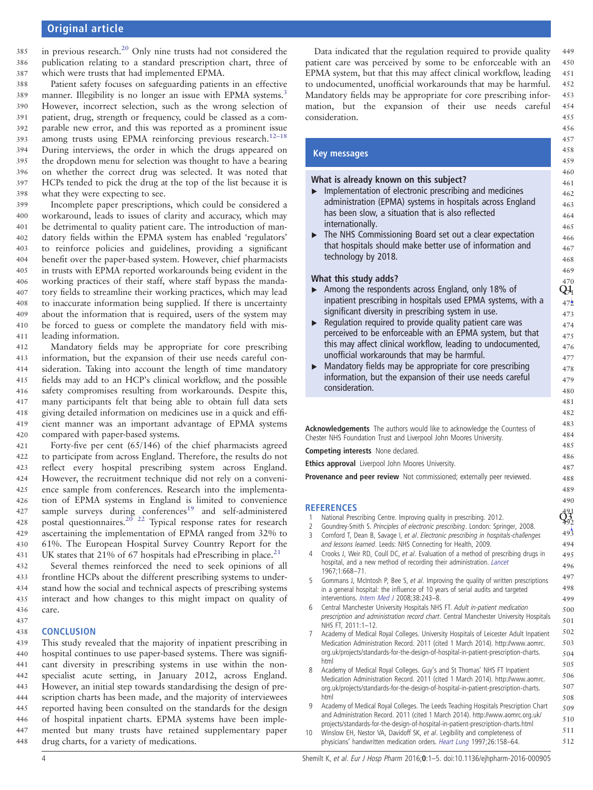## Original article

<span id="page-6-0"></span>in previous research.<sup>[20](#page-7-0)</sup> Only nine trusts had not considered the publication relating to a standard prescription chart, three of which were trusts that had implemented EPMA. 385 386 387

Patient safety focuses on safeguarding patients in an effective manner. Illegibility is no longer an issue with EPMA systems.<sup>3</sup> However, incorrect selection, such as the wrong selection of patient, drug, strength or frequency, could be classed as a comparable new error, and this was reported as a prominent issue among trusts using EPMA reinforcing previous research.<sup>12-18</sup> During interviews, the order in which the drugs appeared on the dropdown menu for selection was thought to have a bearing on whether the correct drug was selected. It was noted that HCPs tended to pick the drug at the top of the list because it is what they were expecting to see. 388 389 390 391 392 393 394 395 396 397 398

Incomplete paper prescriptions, which could be considered a workaround, leads to issues of clarity and accuracy, which may be detrimental to quality patient care. The introduction of mandatory fields within the EPMA system has enabled 'regulators' to reinforce policies and guidelines, providing a significant benefit over the paper-based system. However, chief pharmacists in trusts with EPMA reported workarounds being evident in the working practices of their staff, where staff bypass the mandatory fields to streamline their working practices, which may lead to inaccurate information being supplied. If there is uncertainty about the information that is required, users of the system may be forced to guess or complete the mandatory field with misleading information. 399 400 401 402 403 404 405 406 407 408 409 410 411

Mandatory fields may be appropriate for core prescribing information, but the expansion of their use needs careful consideration. Taking into account the length of time mandatory fields may add to an HCP's clinical workflow, and the possible safety compromises resulting from workarounds. Despite this, many participants felt that being able to obtain full data sets giving detailed information on medicines use in a quick and efficient manner was an important advantage of EPMA systems compared with paper-based systems. 412 413 414 415 416 417 418 419 420

Forty-five per cent (65/146) of the chief pharmacists agreed to participate from across England. Therefore, the results do not reflect every hospital prescribing system across England. However, the recruitment technique did not rely on a convenience sample from conferences. Research into the implementation of EPMA systems in England is limited to convenience sample surveys during conferences<sup>[19](#page-7-0)</sup> and self-administered postal questionnaires.<sup>[20 22](#page-7-0)</sup> Typical response rates for research ascertaining the implementation of EPMA ranged from 32% to 61%. The European Hospital Survey Country Report for the UK states that [21](#page-7-0)% of 67 hospitals had ePrescribing in place.<sup>21</sup> 421 422 423 424 425 426 427 428 429 430 431

Several themes reinforced the need to seek opinions of all frontline HCPs about the different prescribing systems to understand how the social and technical aspects of prescribing systems interact and how changes to this might impact on quality of care. 432 433 434 435 436

#### **CONCLUSION**

437 438

This study revealed that the majority of inpatient prescribing in hospital continues to use paper-based systems. There was significant diversity in prescribing systems in use within the nonspecialist acute setting, in January 2012, across England. However, an initial step towards standardising the design of prescription charts has been made, and the majority of interviewees reported having been consulted on the standards for the design of hospital inpatient charts. EPMA systems have been implemented but many trusts have retained supplementary paper drug charts, for a variety of medications. 439 440 441 442 443 444 445 446 447 448

Data indicated that the regulation required to provide quality patient care was perceived by some to be enforceable with an EPMA system, but that this may affect clinical workflow, leading to undocumented, unofficial workarounds that may be harmful. Mandatory fields may be appropriate for core prescribing information, but the expansion of their use needs careful consideration. 449 450 451 452 453 454 455

#### Key messages

#### What is already known on this subject?

- ▸ Implementation of electronic prescribing and medicines administration (EPMA) systems in hospitals across England has been slow, a situation that is also reflected internationally.
- ▶ The NHS Commissioning Board set out a clear expectation that hospitals should make better use of information and technology by 2018.

#### What this study adds?

- $\triangleright$  Among the respondents across England, only 18% of inpatient prescribing in hospitals used EPMA systems, with a significant diversity in prescribing system in use.
- $\triangleright$  Regulation required to provide quality patient care was perceived to be enforceable with an EPMA system, but that this may affect clinical workflow, leading to undocumented, unofficial workarounds that may be harmful.
- ▸ Mandatory fields may be appropriate for core prescribing information, but the expansion of their use needs careful consideration.

Acknowledgements The authors would like to acknowledge the Countess of Chester NHS Foundation Trust and Liverpool John Moores University.

Competing interests None declared.

Ethics approval Liverpool John Moores University.

Provenance and peer review Not commissioned; externally peer reviewed.

#### **REFERENCES**

- 1 National Prescribing Centre. Improving quality in prescribing. 2012.<br>2 Goundrey-Smith S. Principles of electronic prescribing. London: Sprin
- Goundrey-Smith S. Principles of electronic prescribing. London: Springer, 2008.
- 3 Cornford T, Dean B, Savage I, et al. Electronic prescribing in hospitals-challenges and lessons learned. Leeds: NHS Connecting for Health, 2009.
- 4 Crooks J, Weir RD, Coull DC, et al. Evaluation of a method of prescribing drugs in hospital, and a new method of recording their administration. *[Lancet](http://dx.doi.org/10.1016/S0140-6736(67)92557-3)* 1967;1:668–71.
- 5 Gommans J, McIntosh P, Bee S, et al. Improving the quality of written prescriptions in a general hospital: the influence of 10 years of serial audits and targeted interventions. [Intern Med J](http://dx.doi.org/10.1111/j.1445-5994.2007.01518.x) 2008;38:243–8.
- 6 Central Manchester University Hospitals NHS FT. Adult in-patient medication prescription and administration record chart. Central Manchester University Hospitals NHS FT, 2011:1–12.
- Academy of Medical Royal Colleges. University Hospitals of Leicester Adult Inpatient Medication Administration Record. 2011 (cited 1 March 2014). [http://www.aomrc.](http://www.aomrc.org.uk/projects/standards-for-the-design-of-hospital-in-patient-prescription-charts.html) [org.uk/projects/standards-for-the-design-of-hospital-in-patient-prescription-charts.](http://www.aomrc.org.uk/projects/standards-for-the-design-of-hospital-in-patient-prescription-charts.html) [html](http://www.aomrc.org.uk/projects/standards-for-the-design-of-hospital-in-patient-prescription-charts.html)
- 8 Academy of Medical Royal Colleges. Guy's and St Thomas' NHS FT Inpatient Medication Administration Record. 2011 (cited 1 March 2014). [http://www.aomrc.](http://www.aomrc.org.uk/projects/standards-for-the-design-of-hospital-in-patient-prescription-charts.html) [org.uk/projects/standards-for-the-design-of-hospital-in-patient-prescription-charts.](http://www.aomrc.org.uk/projects/standards-for-the-design-of-hospital-in-patient-prescription-charts.html) [html](http://www.aomrc.org.uk/projects/standards-for-the-design-of-hospital-in-patient-prescription-charts.html)
- 9 Academy of Medical Royal Colleges. The Leeds Teaching Hospitals Prescription Chart and Administration Record. 2011 (cited 1 March 2014). [http://www.aomrc.org.uk/](http://www.aomrc.org.uk/projects/standards-for-the-design-of-hospital-in-patient-prescription-charts.html) [projects/standards-for-the-design-of-hospital-in-patient-prescription-charts.html](http://www.aomrc.org.uk/projects/standards-for-the-design-of-hospital-in-patient-prescription-charts.html) 509 510
- 10 Winslow EH, Nestor VA, Davidoff SK, et al. Legibility and completeness of physicians' handwritten medication orders. [Heart Lung](http://dx.doi.org/10.1016/S0147-9563(97)90076-5) 1997;26:158–64. 511 512

507 508